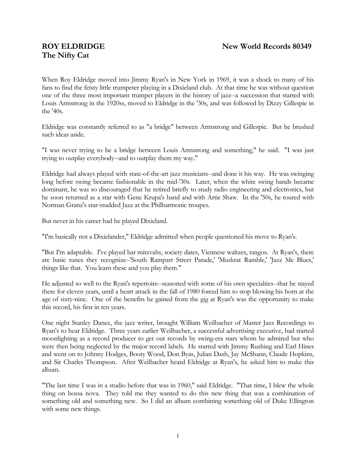# **The Nifty Cat**

When Roy Eldridge moved into Jimmy Ryan's in New York in 1969, it was a shock to many of his fans to find the feisty little trumpeter playing in a Dixieland club. At that time he was without question one of the three most important trumpet players in the history of jazz--a succession that started with Louis Armstrong in the 1920ss, moved to Eldridge in the '30s, and was followed by Dizzy Gillespie in the '40s.

Eldridge was constantly referred to as "a bridge" between Armstrong and Gillespie. But he brushed such ideas aside.

"I was never trying to be a bridge between Louis Armstrong and something," he said. "I was just trying to outplay everybody--and to outplay them my way."

Eldridge had always played with state-of-the-art jazz musicians--and done it his way. He was swinging long before swing became fashionable in the mid-'30s. Later, when the white swing bands became dominant, he was so discouraged that he retired briefly to study radio engineering and electronics, but he soon returned as a star with Gene Krupa's band and with Artie Shaw. In the '50s, he toured with Norman Granz's star-studded Jazz at the Philharmonic troupes.

But never in his career had he played Dixieland.

"I'm basically not a Dixielander," Eldridge admitted when people questioned his move to Ryan's.

"But I'm adaptable. I've played bar mitzvahs, society dates, Viennese waltzes, tangos. At Ryan's, there are basic tunes they recognize--'South Rampart Street Parade,' 'Muskrat Ramble,' 'Jazz Me Blues,' things like that. You learn these and you play them."

He adjusted so well to the Ryan's repertoire--seasoned with some of his own specialties--that he stayed there for eleven years, until a heart attack in the fall of 1980 forced him to stop blowing his horn at the age of sixty-nine. One of the benefits he gained from the gig at Ryan's was the opportunity to make this record, his first in ten years.

One night Stanley Dance, the jazz writer, brought William Weilbacher of Master Jazz Recordings to Ryan's to hear Eldridge. Three years earlier Weilbacher, a successful advertising executive, had started moonlighting as a record producer to get out records by swing-era stars whom he admired but who were then being neglected by the major record labels. He started with Jimmy Rushing and Earl Hines and went on to Johnny Hodges, Booty Wood, Don Byas, Julian Dash, Jay McShann, Claude Hopkins, and Sir Charles Thompson. After Weilbacher heard Eldridge at Ryan's, he asked him to make this album.

"The last time I was in a studio before that was in 1960," said Eldridge. "That time, I blew the whole thing on bossa nova. They told me they wanted to do this new thing that was a combination of something old and something new. So I did an album combining something old of Duke Ellington with some new things.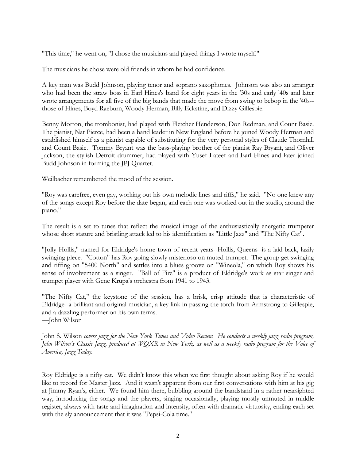"This time," he went on, "I chose the musicians and played things I wrote myself."

The musicians he chose were old friends in whom he had confidence.

A key man was Budd Johnson, playing tenor and soprano saxophones. Johnson was also an arranger who had been the straw boss in Earl Hines's band for eight years in the '30s and early '40s and later wrote arrangements for all five of the big bands that made the move from swing to bebop in the '40s- those of Hines, Boyd Raeburn, Woody Herman, Billy Eckstine, and Dizzy Gillespie.

Benny Morton, the trombonist, had played with Fletcher Henderson, Don Redman, and Count Basie. The pianist, Nat Pierce, had been a band leader in New England before he joined Woody Herman and established himself as a pianist capable of substituting for the very personal styles of Claude Thornhill and Count Basie. Tommy Bryant was the bass-playing brother of the pianist Ray Bryant, and Oliver Jackson, the stylish Detroit drummer, had played with Yusef Lateef and Earl Hines and later joined Budd Johnson in forming the JPJ Quartet.

Weilbacher remembered the mood of the session.

"Roy was carefree, even gay, working out his own melodic lines and riffs," he said. "No one knew any of the songs except Roy before the date began, and each one was worked out in the studio, around the piano."

The result is a set to tunes that reflect the musical image of the enthusiastically energetic trumpeter whose short stature and bristling attack led to his identification as "Little Jazz" and "The Nifty Cat".

"Jolly Hollis," named for Eldridge's home town of recent years--Hollis, Queens--is a laid-back, lazily swinging piece. "Cotton" has Roy going slowly misterioso on muted trumpet. The group get swinging and riffing on "5400 North" and settles into a blues groove on "Wineola," on which Roy shows his sense of involvement as a singer. "Ball of Fire" is a product of Eldridge's work as star singer and trumpet player with Gene Krupa's orchestra from 1941 to 1943.

"The Nifty Cat," the keystone of the session, has a brisk, crisp attitude that is characteristic of Eldridge--a brilliant and original musician, a key link in passing the torch from Armstrong to Gillespie, and a dazzling performer on his own terms.

—John Wilson

John S. Wilson *covers jazz for the New York Times and Video Review. He conducts a weekly jazz radio program, John Wilson's Classic Jazz, produced at WQXR in New York, as well as a weekly radio program for the Voice of America, Jazz Today.* 

Roy Eldridge is a nifty cat. We didn't know this when we first thought about asking Roy if he would like to record for Master Jazz. And it wasn't apparent from our first conversations with him at his gig at Jimmy Ryan's, either. We found him there, bubbling around the bandstand in a rather nearsighted way, introducing the songs and the players, singing occasionally, playing mostly unmuted in middle register, always with taste and imagination and intensity, often with dramatic virtuosity, ending each set with the sly announcement that it was "Pepsi-Cola time."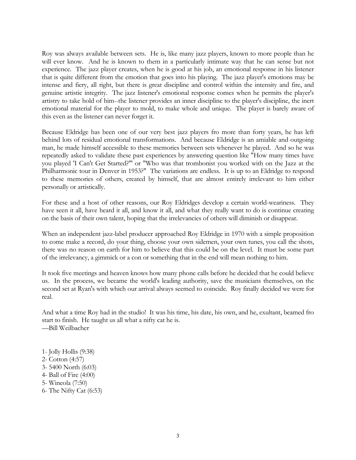Roy was always available between sets. He is, like many jazz players, known to more people than he will ever know. And he is known to them in a particularly intimate way that he can sense but not experience. The jazz player creates, when he is good at his job, an emotional response in his listener that is quite different from the emotion that goes into his playing. The jazz player's emotions may be intense and fiery, all right, but there is great discipline and control within the intensity and fire, and genuine artistic integrity. The jazz listener's emotional response comes when he permits the player's artistry to take hold of him--the listener provides an inner discipline to the player's discipline, the inert emotional material for the player to mold, to make whole and unique. The player is barely aware of this even as the listener can never forget it.

Because Eldridge has been one of our very best jazz players fro more than forty years, he has left behind lots of residual emotional transformations. And because Eldridge is an amiable and outgoing man, he made himself accessible to these memories between sets whenever he played. And so he was repeatedly asked to validate these past experiences by answering question like "How many times have you played 'I Can't Get Started?'" or "Who was that trombonist you worked with on the Jazz at the Philharmonic tour in Denver in 1953?" The variations are endless. It is up to an Eldridge to respond to these memories of others, created by himself, that are almost entirely irrelevant to him either personally or artistically.

For these and a host of other reasons, our Roy Eldridges develop a certain world-weariness. They have seen it all, have heard it all, and know it all, and what they really want to do is continue creating on the basis of their own talent, hoping that the irrelevancies of others will diminish or disappear.

When an independent jazz-label producer approached Roy Eldridge in 1970 with a simple proposition to come make a record, do your thing, choose your own sidemen, your own tunes, you call the shots, there was no reason on earth for him to believe that this could be on the level. It must be some part of the irrelevancy, a gimmick or a con or something that in the end will mean nothing to him.

It took five meetings and heaven knows how many phone calls before he decided that he could believe us. In the process, we became the world's leading authority, save the musicians themselves, on the second set at Ryan's with which our arrival always seemed to coincide. Roy finally decided we were for real.

And what a time Roy had in the studio! It was his time, his date, his own, and he, exultant, beamed fro start to finish. He taught us all what a nifty cat he is. —Bill Weilbacher

- 1- Jolly Hollis (9:38)
- 2- Cotton (4:57)
- 3- 5400 North (6:03)
- 4- Ball of Fire (4:00)
- 5- Wineola (7:50)
- 6- The Nifty Cat (6:53)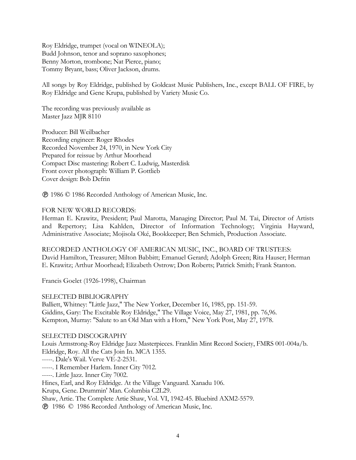Roy Eldridge, trumpet (vocal on WINEOLA); Budd Johnson, tenor and soprano saxophones; Benny Morton, trombone; Nat Pierce, piano; Tommy Bryant, bass; Oliver Jackson, drums.

All songs by Roy Eldridge, published by Goldcast Music Publishers, Inc., except BALL OF FIRE, by Roy Eldridge and Gene Krupa, published by Variety Music Co.

The recording was previously available as Master Jazz MJR 8110

Producer: Bill Weilbacher Recording engineer: Roger Rhodes Recorded November 24, 1970, in New York City Prepared for reissue by Arthur Moorhead Compact Disc mastering: Robert C. Ludwig, Masterdisk Front cover photograph: William P. Gottlieb Cover design: Bob Defrin

1986 © 1986 Recorded Anthology of American Music, Inc.

### FOR NEW WORLD RECORDS:

Herman E. Krawitz, President; Paul Marotta, Managing Director; Paul M. Tai, Director of Artists and Repertory; Lisa Kahlden, Director of Information Technology; Virginia Hayward, Administrative Associate; Mojisola Oké, Bookkeeper; Ben Schmich, Production Associate.

RECORDED ANTHOLOGY OF AMERICAN MUSIC, INC., BOARD OF TRUSTEES: David Hamilton, Treasurer; Milton Babbitt; Emanuel Gerard; Adolph Green; Rita Hauser; Herman E. Krawitz; Arthur Moorhead; Elizabeth Ostrow; Don Roberts; Patrick Smith; Frank Stanton.

Francis Goelet (1926-1998), Chairman

#### SELECTED BIBLIOGRAPHY

Balliett, Whitney: "Little Jazz," The New Yorker, December 16, 1985, pp. 151-59. Giddins, Gary: The Excitable Roy Eldridge," The Village Voice, May 27, 1981, pp. 76,96. Kempton, Murray: "Salute to an Old Man with a Horn," New York Post, May 27, 1978.

#### SELECTED DISCOGRAPHY

Louis Armstrong-Roy Eldridge Jazz Masterpieces. Franklin Mint Record Society, FMRS 001-004a/b. Eldridge, Roy. All the Cats Join In. MCA 1355. -----. Dale's Wail. Verve VE-2-2531. -----. I Remember Harlem. Inner City 7012. -----. Little Jazz. Inner City 7002. Hines, Earl, and Roy Eldridge. At the Village Vanguard. Xanadu 106. Krupa, Gene. Drummin' Man. Columbia C2L29. Shaw, Artie. The Complete Artie Shaw, Vol. VI, 1942-45. Bluebird AXM2-5579. 1986 © 1986 Recorded Anthology of American Music, Inc.